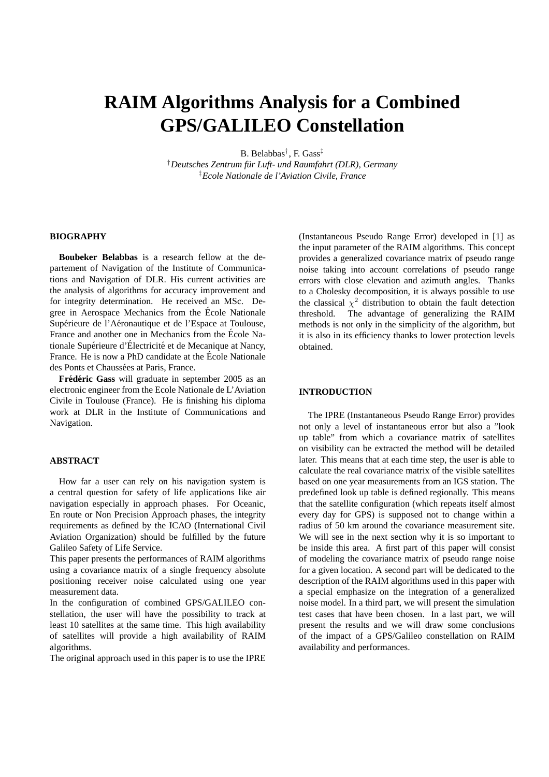# **RAIM Algorithms Analysis for a Combined GPS/GALILEO Constellation**

B. Belabbas† , F. Gass‡

†*Deutsches Zentrum fur Luft- und Raumfahrt (DLR), Germany ¨* ‡*Ecole Nationale de l'Aviation Civile, France*

## **BIOGRAPHY**

**Boubeker Belabbas** is a research fellow at the departement of Navigation of the Institute of Communications and Navigation of DLR. His current activities are the analysis of algorithms for accuracy improvement and for integrity determination. He received an MSc. Degree in Aerospace Mechanics from the Ecole Nationale ´ Supérieure de l'Aéronautique et de l'Espace at Toulouse, France and another one in Mechanics from the École Nationale Supérieure d'Électricité et de Mecanique at Nancy, France. He is now a PhD candidate at the École Nationale des Ponts et Chaussées at Paris, France.

**Frédéric Gass** will graduate in september 2005 as an electronic engineer from the Ecole Nationale de L'Aviation Civile in Toulouse (France). He is finishing his diploma work at DLR in the Institute of Communications and Navigation.

# **ABSTRACT**

How far a user can rely on his navigation system is a central question for safety of life applications like air navigation especially in approach phases. For Oceanic, En route or Non Precision Approach phases, the integrity requirements as defined by the ICAO (International Civil Aviation Organization) should be fulfilled by the future Galileo Safety of Life Service.

This paper presents the performances of RAIM algorithms using a covariance matrix of a single frequency absolute positioning receiver noise calculated using one year measurement data.

In the configuration of combined GPS/GALILEO constellation, the user will have the possibility to track at least 10 satellites at the same time. This high availability of satellites will provide a high availability of RAIM algorithms.

The original approach used in this paper is to use the IPRE

(Instantaneous Pseudo Range Error) developed in [1] as the input parameter of the RAIM algorithms. This concept provides a generalized covariance matrix of pseudo range noise taking into account correlations of pseudo range errors with close elevation and azimuth angles. Thanks to a Cholesky decomposition, it is always possible to use the classical  $\chi^2$  distribution to obtain the fault detection threshold. The advantage of generalizing the RAIM methods is not only in the simplicity of the algorithm, but it is also in its efficiency thanks to lower protection levels obtained.

# **INTRODUCTION**

The IPRE (Instantaneous Pseudo Range Error) provides not only a level of instantaneous error but also a "look up table" from which a covariance matrix of satellites on visibility can be extracted the method will be detailed later. This means that at each time step, the user is able to calculate the real covariance matrix of the visible satellites based on one year measurements from an IGS station. The predefined look up table is defined regionally. This means that the satellite configuration (which repeats itself almost every day for GPS) is supposed not to change within a radius of 50 km around the covariance measurement site. We will see in the next section why it is so important to be inside this area. A first part of this paper will consist of modeling the covariance matrix of pseudo range noise for a given location. A second part will be dedicated to the description of the RAIM algorithms used in this paper with a special emphasize on the integration of a generalized noise model. In a third part, we will present the simulation test cases that have been chosen. In a last part, we will present the results and we will draw some conclusions of the impact of a GPS/Galileo constellation on RAIM availability and performances.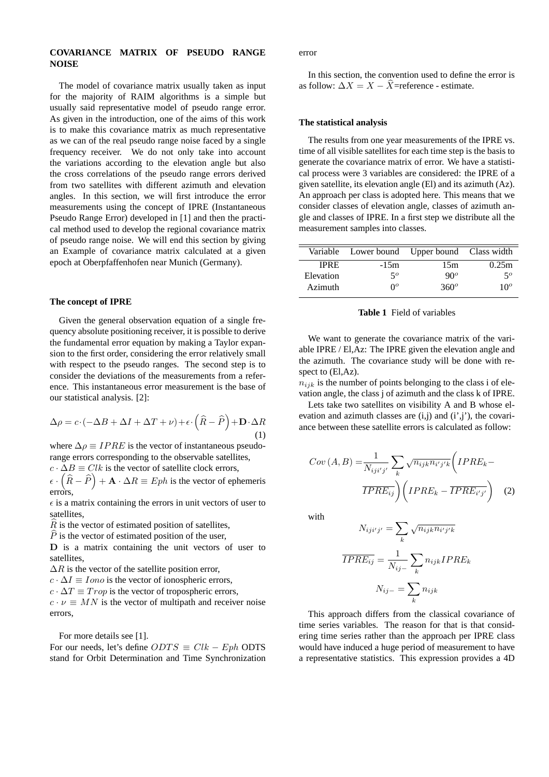## **COVARIANCE MATRIX OF PSEUDO RANGE NOISE**

The model of covariance matrix usually taken as input for the majority of RAIM algorithms is a simple but usually said representative model of pseudo range error. As given in the introduction, one of the aims of this work is to make this covariance matrix as much representative as we can of the real pseudo range noise faced by a single frequency receiver. We do not only take into account the variations according to the elevation angle but also the cross correlations of the pseudo range errors derived from two satellites with different azimuth and elevation angles. In this section, we will first introduce the error measurements using the concept of IPRE (Instantaneous Pseudo Range Error) developed in [1] and then the practical method used to develop the regional covariance matrix of pseudo range noise. We will end this section by giving an Example of covariance matrix calculated at a given epoch at Oberpfaffenhofen near Munich (Germany).

#### **The concept of IPRE**

Given the general observation equation of a single frequency absolute positioning receiver, it is possible to derive the fundamental error equation by making a Taylor expansion to the first order, considering the error relatively small with respect to the pseudo ranges. The second step is to consider the deviations of the measurements from a reference. This instantaneous error measurement is the base of our statistical analysis. [2]:

$$
\Delta \rho = c \cdot \left( -\Delta B + \Delta I + \Delta T + \nu \right) + \epsilon \cdot \left( \widehat{R} - \widehat{P} \right) + \mathbf{D} \cdot \Delta R \tag{1}
$$

where  $\Delta \rho \equiv I P R E$  is the vector of instantaneous pseudorange errors corresponding to the observable satellites,

 $c \cdot \Delta B \equiv C l k$  is the vector of satellite clock errors,

 $\epsilon \cdot (\widehat{R} - \widehat{P}) + A \cdot \Delta R \equiv Eph$  is the vector of ephemeris errors,

 $\epsilon$  is a matrix containing the errors in unit vectors of user to satellites,

 $\hat{R}$  is the vector of estimated position of satellites,

 $\hat{P}$  is the vector of estimated position of the user,

D is a matrix containing the unit vectors of user to satellites,

 $\Delta R$  is the vector of the satellite position error,

 $c \cdot \Delta I \equiv$  Iono is the vector of ionospheric errors,

 $c \cdot \Delta T \equiv Trop$  is the vector of tropospheric errors,

 $c \cdot \nu \equiv M N$  is the vector of multipath and receiver noise errors,

For more details see [1].

For our needs, let's define  $ODTS \equiv Clk - Eph$  ODTS stand for Orbit Determination and Time Synchronization error

In this section, the convention used to define the error is as follow:  $\Delta X = X - \widehat{X}$ =reference - estimate.

# **The statistical analysis**

The results from one year measurements of the IPRE vs. time of all visible satellites for each time step is the basis to generate the covariance matrix of error. We have a statistical process were 3 variables are considered: the IPRE of a given satellite, its elevation angle (El) and its azimuth (Az). An approach per class is adopted here. This means that we consider classes of elevation angle, classes of azimuth angle and classes of IPRE. In a first step we distribute all the measurement samples into classes.

|                | Variable Lower bound Upper bound Class width |               |                 |
|----------------|----------------------------------------------|---------------|-----------------|
| <b>IPRE</b>    | $-15m$                                       | 15m           | 0.25m           |
| Elevation      | $5^{\circ}$                                  | $90^o$        | $5^{\circ}$     |
| <b>Azimuth</b> | $0^o$                                        | $360^{\circ}$ | 10 <sup>o</sup> |

#### **Table 1** Field of variables

We want to generate the covariance matrix of the variable IPRE / El,Az: The IPRE given the elevation angle and the azimuth. The covariance study will be done with respect to  $(EI, Az)$ .

 $n_{ijk}$  is the number of points belonging to the class i of elevation angle, the class j of azimuth and the class k of IPRE.

Lets take two satellites on visibility A and B whose elevation and azimuth classes are  $(i,j)$  and  $(i',j')$ , the covariance between these satellite errors is calculated as follow:

$$
Cov(A, B) = \frac{1}{N_{iji'j'}} \sum_{k} \sqrt{n_{ijk} n_{i'j'k}} \left( IPRE_k - \overline{IPRE}_{ij} \right)
$$

$$
\overline{IPRE}_{ij} \left( IPRE_k - \overline{IPRE}_{i'j'} \right) \quad (2)
$$

with

$$
N_{iji'j'} = \sum_{k} \sqrt{n_{ijk} n_{i'j'k}}
$$

$$
\overline{IPRE_{ij}} = \frac{1}{N_{ij-}} \sum_{k} n_{ijk} IPRE_k
$$

$$
N_{ij-} = \sum_{k} n_{ijk}
$$

This approach differs from the classical covariance of time series variables. The reason for that is that considering time series rather than the approach per IPRE class would have induced a huge period of measurement to have a representative statistics. This expression provides a 4D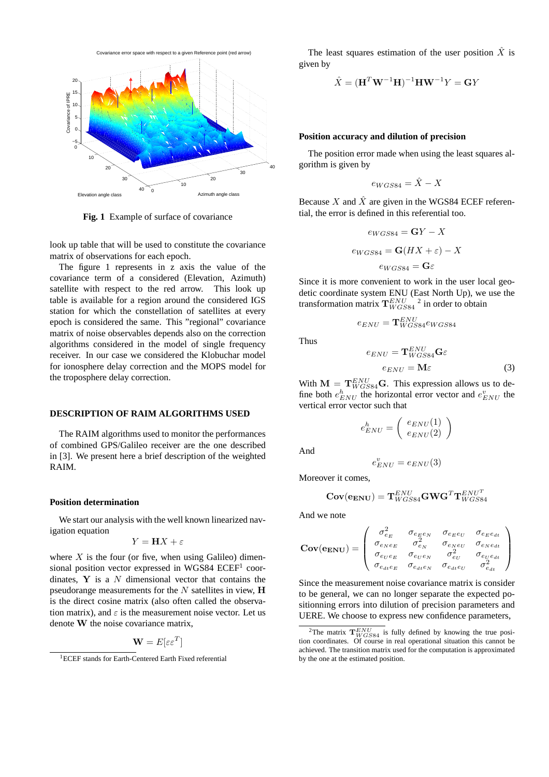

**Fig. 1** Example of surface of covariance

look up table that will be used to constitute the covariance matrix of observations for each epoch.

The figure 1 represents in z axis the value of the covariance term of a considered (Elevation, Azimuth) satellite with respect to the red arrow. This look up table is available for a region around the considered IGS station for which the constellation of satellites at every epoch is considered the same. This "regional" covariance matrix of noise observables depends also on the correction algorithms considered in the model of single frequency receiver. In our case we considered the Klobuchar model for ionosphere delay correction and the MOPS model for the troposphere delay correction.

#### **DESCRIPTION OF RAIM ALGORITHMS USED**

The RAIM algorithms used to monitor the performances of combined GPS/Galileo receiver are the one described in [3]. We present here a brief description of the weighted RAIM.

#### **Position determination**

We start our analysis with the well known linearized navigation equation

$$
Y = \mathbf{H}X + \varepsilon
$$

where  $X$  is the four (or five, when using Galileo) dimensional position vector expressed in WGS84 ECEF<sup>1</sup> coordinates,  $Y$  is a  $N$  dimensional vector that contains the pseudorange measurements for the  $N$  satellites in view,  $H$ is the direct cosine matrix (also often called the observation matrix), and  $\varepsilon$  is the measurement noise vector. Let us denote W the noise covariance matrix,

$$
\mathbf{W} = E[\varepsilon \varepsilon^T]
$$

The least squares estimation of the user position  $\hat{X}$  is given by

$$
\hat{X} = (\mathbf{H}^T \mathbf{W}^{-1} \mathbf{H})^{-1} \mathbf{H} \mathbf{W}^{-1} Y = \mathbf{G} Y
$$

#### **Position accuracy and dilution of precision**

The position error made when using the least squares algorithm is given by

$$
e_{WGS84} = \hat{X} - X
$$

Because X and  $\hat{X}$  are given in the WGS84 ECEF referential, the error is defined in this referential too.

$$
e_{WGS84} = \mathbf{G}Y - X
$$

$$
e_{WGS84} = \mathbf{G}(HX + \varepsilon) - X
$$

$$
e_{WGS84} = \mathbf{G}\varepsilon
$$

Since it is more convenient to work in the user local geodetic coordinate system ENU (East North Up), we use the transformation matrix  $\mathbf{T}_{WGS84}^{ENU}$ <sup>2</sup> in order to obtain

$$
e_{ENU}=\mathbf{T}^{ENU}_{WGS84}e_{WGS84}
$$

Thus

$$
e_{ENU} = \mathbf{T}_{WGS84}^{ENU} \mathbf{G} \varepsilon
$$

$$
e_{ENU} = \mathbf{M} \varepsilon
$$
 (3)

With  $\mathbf{M} = \mathbf{T}_{WGS84}^{ENU} \mathbf{G}$ . This expression allows us to define both  $e_{ENU}^h$  the horizontal error vector and  $e_{ENU}^v$  the vertical error vector such that

$$
e_{ENU}^h = \left(\begin{array}{c} e_{ENU}(1) \\ e_{ENU}(2) \end{array}\right)
$$

And

$$
e_{ENU}^v = e_{ENU}(3)
$$

Moreover it comes,

$$
\mathbf{Cov}(\mathbf{e_{ENU}})=\mathbf{T}_{WGS84}^{ENU}\mathbf{G}\mathbf{W}\mathbf{G}^T\mathbf{T}_{WGS84}^{ENU^T}
$$

And we note

$$
\text{Cov}(\mathbf{e}_{\text{ENU}}) = \left(\begin{array}{ccc} \sigma_{e_E}^2 & \sigma_{e_E e_N} & \sigma_{e_E e_U} & \sigma_{e_E e_{dt}} \\ \sigma_{e_N e_E} & \sigma_{e_N}^2 & \sigma_{e_N e_U} & \sigma_{e_N e_{dt}} \\ \sigma_{e_U e_E} & \sigma_{e_U e_N} & \sigma_{e_U}^2 & \sigma_{e_U e_{dt}} \\ \sigma_{e_{dt} e_E} & \sigma_{e_{dt} e_N} & \sigma_{e_{dt} e_U} & \sigma_{e_{dt}}^2 \end{array}\right)
$$

Since the measurement noise covariance matrix is consider to be general, we can no longer separate the expected positionning errors into dilution of precision parameters and UERE. We choose to express new confidence parameters,

<sup>&</sup>lt;sup>1</sup>ECEF stands for Earth-Centered Earth Fixed referential

<sup>&</sup>lt;sup>2</sup>The matrix  $\mathbf{T}_{WGS84}^{ENU}$  is fully defined by knowing the true position coordinates. Of course in real operational situation this cannot be achieved. The transition matrix used for the computation is approximated by the one at the estimated position.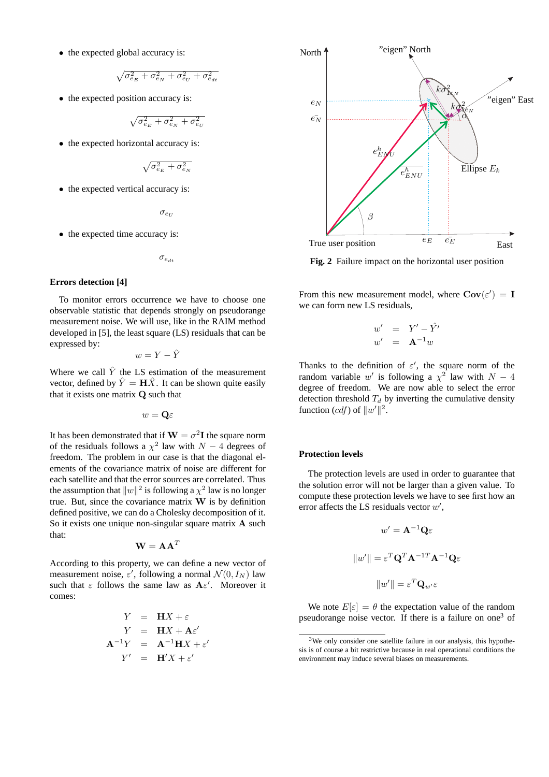• the expected global accuracy is:

$$
\sqrt{\sigma_{e_E}^2+\sigma_{e_N}^2+\sigma_{e_U}^2+\sigma_{e_{dt}}^2}
$$

• the expected position accuracy is:

$$
\sqrt{\sigma_{e_E}^2+\sigma_{e_N}^2+\sigma_{e_U}^2}
$$

• the expected horizontal accuracy is:

$$
\sqrt{\sigma_{e_E}^2 + \sigma_{e_N}^2}
$$

• the expected vertical accuracy is:

 $\sigma_{e_U}$ 

• the expected time accuracy is:

$$
\sigma_{e_{dt}}
$$

#### **Errors detection [4]**

To monitor errors occurrence we have to choose one observable statistic that depends strongly on pseudorange measurement noise. We will use, like in the RAIM method developed in [5], the least square (LS) residuals that can be expressed by:

$$
w = Y - \hat{Y}
$$

Where we call  $\hat{Y}$  the LS estimation of the measurement vector, defined by  $\hat{Y} = \mathbf{H}\hat{X}$ . It can be shown quite easily that it exists one matrix Q such that

$$
w = \mathbf{Q} \varepsilon
$$

It has been demonstrated that if  $\mathbf{W} = \sigma^2 \mathbf{I}$  the square norm of the residuals follows a  $\chi^2$  law with  $N-4$  degrees of freedom. The problem in our case is that the diagonal elements of the covariance matrix of noise are different for each satellite and that the error sources are correlated. Thus the assumption that  $||w||^2$  is following a  $\chi^2$  law is no longer true. But, since the covariance matrix  $W$  is by definition defined positive, we can do a Cholesky decomposition of it. So it exists one unique non-singular square matrix A such that:

$$
\mathbf{W} = \mathbf{A}\mathbf{A}^T
$$

According to this property, we can define a new vector of measurement noise,  $\varepsilon'$ , following a normal  $\mathcal{N}(0, I_N)$  law such that  $\varepsilon$  follows the same law as  $A\varepsilon'$ . Moreover it comes:

$$
Y = \mathbf{H}X + \varepsilon
$$
  
\n
$$
Y = \mathbf{H}X + \mathbf{A}\varepsilon'
$$
  
\n
$$
\mathbf{A}^{-1}Y = \mathbf{A}^{-1}\mathbf{H}X + \varepsilon'
$$
  
\n
$$
Y' = \mathbf{H}'X + \varepsilon'
$$



**Fig. 2** Failure impact on the horizontal user position

From this new measurement model, where  $Cov(\varepsilon') = I$ we can form new LS residuals,

$$
w' = Y' - \hat{Y}'
$$
  

$$
w' = \mathbf{A}^{-1}w
$$

Thanks to the definition of  $\varepsilon'$ , the square norm of the random variable w' is following a  $\chi^2$  law with  $N-4$ degree of freedom. We are now able to select the error detection threshold  $T_d$  by inverting the cumulative density function  $(cdf)$  of  $||w'||^2$ .

#### **Protection levels**

The protection levels are used in order to guarantee that the solution error will not be larger than a given value. To compute these protection levels we have to see first how an error affects the LS residuals vector  $w'$ ,

$$
w' = \mathbf{A}^{-1} \mathbf{Q} \varepsilon
$$

$$
||w'|| = \varepsilon^T \mathbf{Q}^T \mathbf{A}^{-1} \mathbf{T} \mathbf{A}^{-1} \mathbf{Q} \varepsilon
$$

$$
||w'|| = \varepsilon^T \mathbf{Q}_{w'} \varepsilon
$$

We note  $E[\varepsilon] = \theta$  the expectation value of the random pseudorange noise vector. If there is a failure on one<sup>3</sup> of

<sup>&</sup>lt;sup>3</sup>We only consider one satellite failure in our analysis, this hypothesis is of course a bit restrictive because in real operational conditions the environment may induce several biases on measurements.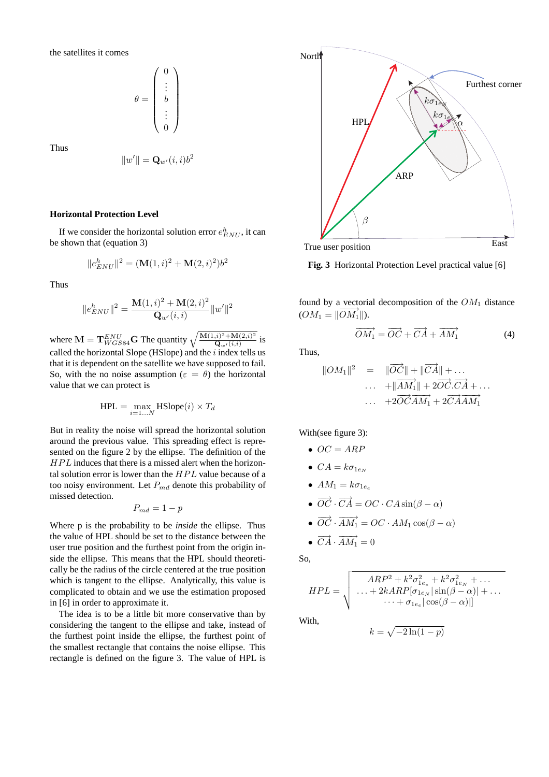the satellites it comes

$$
\theta = \left(\begin{array}{c} 0 \\ \vdots \\ b \\ \vdots \\ 0 \end{array}\right)
$$

Thus

$$
||w'|| = \mathbf{Q}_{w'}(i,i)b^2
$$

#### **Horizontal Protection Level**

If we consider the horizontal solution error  $e_{ENU}^h$ , it can be shown that (equation 3)

$$
||e_{END}^h||^2 = (\mathbf{M}(1,i)^2 + \mathbf{M}(2,i)^2)b^2
$$

Thus

$$
||e_{ENU}^{h}||^{2} = \frac{\mathbf{M}(1,i)^{2} + \mathbf{M}(2,i)^{2}}{\mathbf{Q}_{w'}(i,i)}||w'||^{2}
$$

where  $\mathbf{M} = \mathbf{T}_{WGS84}^{ENU} \mathbf{G}$  The quantity  $\sqrt{\frac{\mathbf{M}(1,i)^2 + \mathbf{M}(2,i)^2}{\mathbf{Q}_{m'}(i,i)}}$  $rac{1}{\mathbf{Q}_{w'}(i,i)}$  is called the horizontal Slope (HSlope) and the  $i$  index tells us that it is dependent on the satellite we have supposed to fail. So, with the no noise assumption ( $\varepsilon = \theta$ ) the horizontal value that we can protect is

$$
HPL = \max_{i=1...N} HSlope(i) \times T_d
$$

But in reality the noise will spread the horizontal solution around the previous value. This spreading effect is represented on the figure 2 by the ellipse. The definition of the  $HPL$  induces that there is a missed alert when the horizontal solution error is lower than the  $HPL$  value because of a too noisy environment. Let  $P_{md}$  denote this probability of missed detection.

$$
P_{md} = 1 - p
$$

Where p is the probability to be *inside* the ellipse. Thus the value of HPL should be set to the distance between the user true position and the furthest point from the origin inside the ellipse. This means that the HPL should theoretically be the radius of the circle centered at the true position which is tangent to the ellipse. Analytically, this value is complicated to obtain and we use the estimation proposed in [6] in order to approximate it.

The idea is to be a little bit more conservative than by considering the tangent to the ellipse and take, instead of the furthest point inside the ellipse, the furthest point of the smallest rectangle that contains the noise ellipse. This rectangle is defined on the figure 3. The value of HPL is



**Fig. 3** Horizontal Protection Level practical value [6]

found by a vectorial decomposition of the  $OM_1$  distance  $(OM_1 = ||\overrightarrow{OM_1}||).$ 

$$
\overrightarrow{OM_1} = \overrightarrow{OC} + \overrightarrow{CA} + \overrightarrow{AM_1} \tag{4}
$$

Thus,

$$
\|OM_1\|^2 = \|\overrightarrow{OC}\| + \|\overrightarrow{CA}\| + \dots
$$
  
 
$$
\dots + \|\overrightarrow{AM_1}\| + 2\overrightarrow{OC}.\overrightarrow{CA} + \dots
$$
  
 
$$
\dots + 2\overrightarrow{OC}.\overrightarrow{AM_1} + 2\overrightarrow{CA}.\overrightarrow{AM_1}
$$

With(see figure 3):

$$
\bullet\ \ OC = ARP
$$

$$
\bullet \ \ CA = k \sigma_{1e_N}
$$

- $AM_1 = k\sigma_{1e_e}$
- $\overrightarrow{OC} \cdot \overrightarrow{CA} = OC \cdot CA \sin(\beta \alpha)$

$$
\bullet \ \overrightarrow{OC} \cdot \overrightarrow{AM_1} = OC \cdot AM_1 \cos(\beta - \alpha)
$$

•  $\overrightarrow{CA} \cdot \overrightarrow{AM_1} = 0$ 

So,

$$
HPL = \sqrt{\begin{array}{c}\nARP^2 + k^2 \sigma_{1e_e}^2 + k^2 \sigma_{1e_N}^2 + \dots \\
\dots + 2kARP[\sigma_{1e_N}|\sin(\beta - \alpha)| + \dots \\
\dots + \sigma_{1e_e}|\cos(\beta - \alpha)|]\n\end{array}}
$$

 $k = \sqrt{-2\ln(1-p)}$ 

With,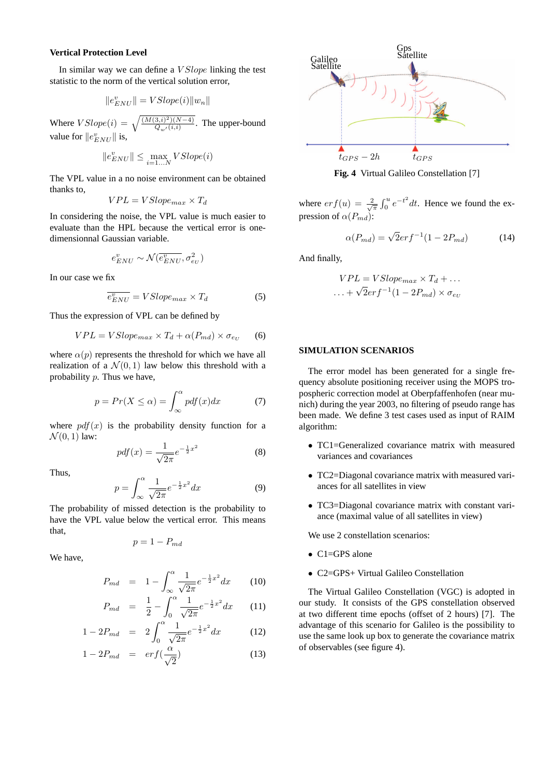#### **Vertical Protection Level**

In similar way we can define a V Slope linking the test statistic to the norm of the vertical solution error,

$$
\|e^v_{ENU}\| = VSlope(i)\|w_n\|
$$

Where  $VSlope(i) = \sqrt{\frac{(M(3,i)^2)(N-4)}{Q_w(i,i)}}$ . The upper-bound value for  $||e_{END}^v||$  is,

$$
\|e_{END}^v\|\leq \max_{i=1...N} VSlope(i)
$$

The VPL value in a no noise environment can be obtained thanks to,

$$
VPL = VSlope_{max} \times T_d
$$

In considering the noise, the VPL value is much easier to evaluate than the HPL because the vertical error is onedimensionnal Gaussian variable.

$$
e^v_{ENU} \sim \mathcal{N}(\overline{e^v_{ENU}}, \sigma^2_{e_U})
$$

In our case we fix

$$
\overline{e_{ENU}^v} = VSlope_{max} \times T_d \tag{5}
$$

Thus the expression of VPL can be defined by

$$
VPL = VSlope_{max} \times T_d + \alpha(P_{md}) \times \sigma_{e_U} \qquad (6)
$$

where  $\alpha(p)$  represents the threshold for which we have all realization of a  $\mathcal{N}(0, 1)$  law below this threshold with a probability p. Thus we have,

$$
p = Pr(X \le \alpha) = \int_{\infty}^{\alpha} pdf(x)dx
$$
 (7)

where  $pdf(x)$  is the probability density function for a  $\mathcal{N}(0, 1)$  law:

$$
pdf(x) = \frac{1}{\sqrt{2\pi}}e^{-\frac{1}{2}x^2}
$$
 (8)

Thus,

$$
p = \int_{\infty}^{\alpha} \frac{1}{\sqrt{2\pi}} e^{-\frac{1}{2}x^2} dx \tag{9}
$$

The probability of missed detection is the probability to have the VPL value below the vertical error. This means that,

$$
p=1-P_{md}
$$

We have,

$$
P_{md} = 1 - \int_{\infty}^{\alpha} \frac{1}{\sqrt{2\pi}} e^{-\frac{1}{2}x^2} dx \qquad (10)
$$

$$
P_{md} = \frac{1}{2} - \int_0^\alpha \frac{1}{\sqrt{2\pi}} e^{-\frac{1}{2}x^2} dx \qquad (11)
$$

$$
1 - 2P_{md} = 2 \int_0^\alpha \frac{1}{\sqrt{2\pi}} e^{-\frac{1}{2}x^2} dx \qquad (12)
$$

$$
1 - 2P_{md} = erf(\frac{\alpha}{\sqrt{2}})
$$
 (13)



**Fig. 4** Virtual Galileo Constellation [7]

where  $erf(u) = \frac{2}{\sqrt{\pi}} \int_0^u e^{-t^2} dt$ . Hence we found the expression of  $\alpha(P_{md})$ :

$$
\alpha(P_{md}) = \sqrt{2}erf^{-1}(1 - 2P_{md})\tag{14}
$$

And finally,

$$
VPL = VSlope_{max} \times T_d + \dots
$$

$$
\dots + \sqrt{2}erf^{-1}(1 - 2P_{md}) \times \sigma_{e_U}
$$

# **SIMULATION SCENARIOS**

The error model has been generated for a single frequency absolute positioning receiver using the MOPS tropospheric correction model at Oberpfaffenhofen (near munich) during the year 2003, no filtering of pseudo range has been made. We define 3 test cases used as input of RAIM algorithm:

- TC1=Generalized covariance matrix with measured variances and covariances
- TC2=Diagonal covariance matrix with measured variances for all satellites in view
- TC3=Diagonal covariance matrix with constant variance (maximal value of all satellites in view)

We use 2 constellation scenarios:

- C1=GPS alone
- C2=GPS+ Virtual Galileo Constellation

The Virtual Galileo Constellation (VGC) is adopted in our study. It consists of the GPS constellation observed at two different time epochs (offset of 2 hours) [7]. The advantage of this scenario for Galileo is the possibility to use the same look up box to generate the covariance matrix of observables (see figure 4).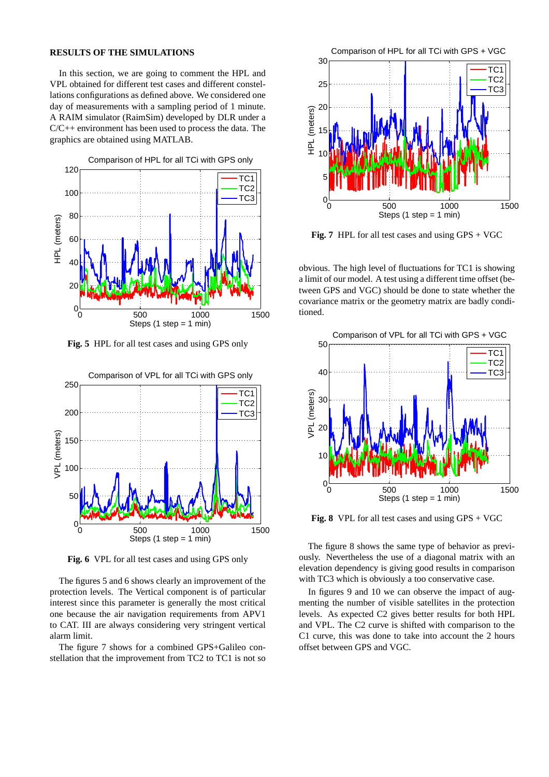#### **RESULTS OF THE SIMULATIONS**

In this section, we are going to comment the HPL and VPL obtained for different test cases and different constellations configurations as defined above. We considered one day of measurements with a sampling period of 1 minute. A RAIM simulator (RaimSim) developed by DLR under a C/C++ environment has been used to process the data. The graphics are obtained using MATLAB.



**Fig. 5** HPL for all test cases and using GPS only



**Fig. 6** VPL for all test cases and using GPS only

The figures 5 and 6 shows clearly an improvement of the protection levels. The Vertical component is of particular interest since this parameter is generally the most critical one because the air navigation requirements from APV1 to CAT. III are always considering very stringent vertical alarm limit.

The figure 7 shows for a combined GPS+Galileo constellation that the improvement from TC2 to TC1 is not so



**Fig. 7** HPL for all test cases and using GPS + VGC

obvious. The high level of fluctuations for TC1 is showing a limit of our model. A test using a different time offset (between GPS and VGC) should be done to state whether the covariance matrix or the geometry matrix are badly conditioned.



**Fig. 8** VPL for all test cases and using GPS + VGC

The figure 8 shows the same type of behavior as previously. Nevertheless the use of a diagonal matrix with an elevation dependency is giving good results in comparison with TC3 which is obviously a too conservative case.

In figures 9 and 10 we can observe the impact of augmenting the number of visible satellites in the protection levels. As expected C2 gives better results for both HPL and VPL. The C2 curve is shifted with comparison to the C1 curve, this was done to take into account the 2 hours offset between GPS and VGC.